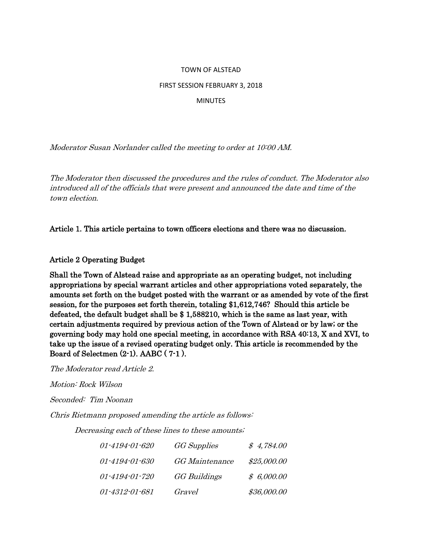#### TOWN OF ALSTEAD

#### FIRST SESSION FEBRUARY 3, 2018

#### **MINUTES**

Moderator Susan Norlander called the meeting to order at 10:00 AM.

The Moderator then discussed the procedures and the rules of conduct. The Moderator also introduced all of the officials that were present and announced the date and time of the town election.

Article 1. This article pertains to town officers elections and there was no discussion.

#### Article 2 Operating Budget

Shall the Town of Alstead raise and appropriate as an operating budget, not including appropriations by special warrant articles and other appropriations voted separately, the amounts set forth on the budget posted with the warrant or as amended by vote of the first session, for the purposes set forth therein, totaling \$1,612,746? Should this article be defeated, the default budget shall be \$ 1,588210, which is the same as last year, with certain adjustments required by previous action of the Town of Alstead or by law; or the governing body may hold one special meeting, in accordance with RSA 40:13, X and XVI, to take up the issue of a revised operating budget only. This article is recommended by the Board of Selectmen (2-1). AABC ( 7-1 ).

The Moderator read Article 2.

Motion: Rock Wilson

Seconded: Tim Noonan

Chris Rietmann proposed amending the article as follows:

Decreasing each of these lines to these amounts;

| 01-4194-01-620 | <b>GG</b> Supplies    | \$4,784.00  |
|----------------|-----------------------|-------------|
| 01-4194-01-630 | <b>GG</b> Maintenance | \$25,000.00 |
| 01-4194-01-720 | <b>GG</b> Buildings   | \$6,000.00  |
| 01-4312-01-681 | Gravel                | \$36,000.00 |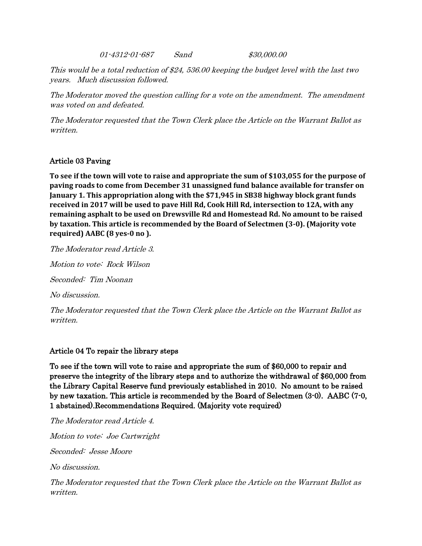01-4312-01-687 Sand \$30,000.00

This would be a total reduction of \$24, 536.00 keeping the budget level with the last two years. Much discussion followed.

The Moderator moved the question calling for a vote on the amendment. The amendment was voted on and defeated.

The Moderator requested that the Town Clerk place the Article on the Warrant Ballot as written.

# Article 03 Paving

**To see if the town will vote to raise and appropriate the sum of \$103,055 for the purpose of paving roads to come from December 31 unassigned fund balance available for transfer on January 1. This appropriation along with the \$71,945 in SB38 highway block grant funds received in 2017 will be used to pave Hill Rd, Cook Hill Rd, intersection to 12A, with any remaining asphalt to be used on Drewsville Rd and Homestead Rd. No amount to be raised by taxation. This article is recommended by the Board of Selectmen (3-0). (Majority vote required) AABC (8 yes-0 no ).**

The Moderator read Article 3.

Motion to vote: Rock Wilson

Seconded: Tim Noonan

No discussion.

The Moderator requested that the Town Clerk place the Article on the Warrant Ballot as written.

#### Article 04 To repair the library steps

To see if the town will vote to raise and appropriate the sum of \$60,000 to repair and preserve the integrity of the library steps and to authorize the withdrawal of \$60,000 from the Library Capital Reserve fund previously established in 2010. No amount to be raised by new taxation. This article is recommended by the Board of Selectmen (3-0). AABC (7-0, 1 abstained).Recommendations Required. (Majority vote required)

The Moderator read Article 4.

Motion to vote: Joe Cartwright

Seconded: Jesse Moore

No discussion.

The Moderator requested that the Town Clerk place the Article on the Warrant Ballot as written.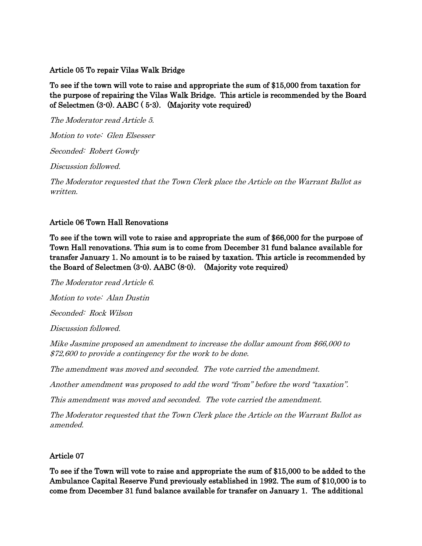#### Article 05 To repair Vilas Walk Bridge

To see if the town will vote to raise and appropriate the sum of \$15,000 from taxation for the purpose of repairing the Vilas Walk Bridge. This article is recommended by the Board of Selectmen (3-0). AABC ( 5-3). (Majority vote required)

The Moderator read Article 5. Motion to vote: Glen Elsesser

Seconded: Robert Gowdy

Discussion followed.

The Moderator requested that the Town Clerk place the Article on the Warrant Ballot as written.

# Article 06 Town Hall Renovations

To see if the town will vote to raise and appropriate the sum of \$66,000 for the purpose of Town Hall renovations. This sum is to come from December 31 fund balance available for transfer January 1. No amount is to be raised by taxation. This article is recommended by the Board of Selectmen (3-0). AABC (8-0). (Majority vote required)

The Moderator read Article 6. Motion to vote: Alan Dustin Seconded: Rock Wilson Discussion followed. Mike Jasmine proposed an amendment to increase the dollar amount from \$66,000 to \$72,600 to provide a contingency for the work to be done. The amendment was moved and seconded. The vote carried the amendment. Another amendment was proposed to add the word "from" before the word "taxation".

This amendment was moved and seconded. The vote carried the amendment.

The Moderator requested that the Town Clerk place the Article on the Warrant Ballot as amended.

# Article 07

To see if the Town will vote to raise and appropriate the sum of \$15,000 to be added to the Ambulance Capital Reserve Fund previously established in 1992. The sum of \$10,000 is to come from December 31 fund balance available for transfer on January 1. The additional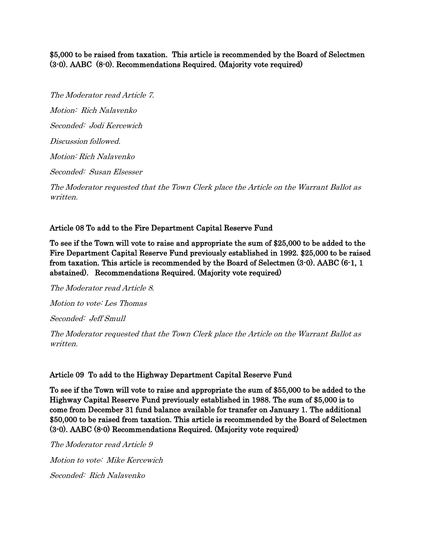### \$5,000 to be raised from taxation. This article is recommended by the Board of Selectmen (3-0). AABC (8-0). Recommendations Required. (Majority vote required)

The Moderator read Article 7. Motion: Rich Nalavenko Seconded: Jodi Kercewich Discussion followed. Motion: Rich Nalavenko Seconded: Susan Elsesser

The Moderator requested that the Town Clerk place the Article on the Warrant Ballot as written.

# Article 08 To add to the Fire Department Capital Reserve Fund

To see if the Town will vote to raise and appropriate the sum of \$25,000 to be added to the Fire Department Capital Reserve Fund previously established in 1992. \$25,000 to be raised from taxation. This article is recommended by the Board of Selectmen (3-0). AABC (6-1, 1 abstained). Recommendations Required. (Majority vote required)

The Moderator read Article 8. Motion to vote: Les Thomas Seconded: Jeff Smull The Moderator requested that the Town Clerk place the Article on the Warrant Ballot as

#### Article 09 To add to the Highway Department Capital Reserve Fund

To see if the Town will vote to raise and appropriate the sum of \$55,000 to be added to the Highway Capital Reserve Fund previously established in 1988. The sum of \$5,000 is to come from December 31 fund balance available for transfer on January 1. The additional \$50,000 to be raised from taxation. This article is recommended by the Board of Selectmen (3-0). AABC (8-0) Recommendations Required. (Majority vote required)

The Moderator read Article 9 Motion to vote: Mike Kercewich Seconded: Rich Nalavenko

written.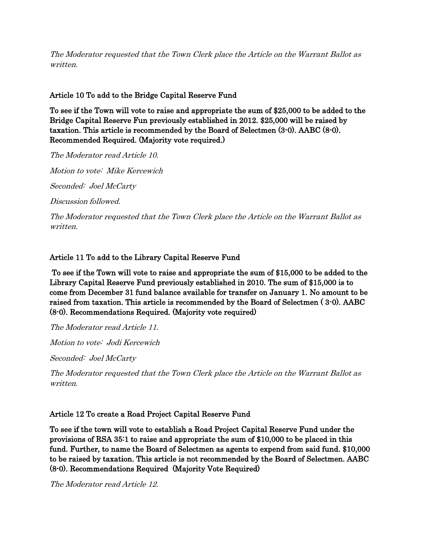The Moderator requested that the Town Clerk place the Article on the Warrant Ballot as written.

# Article 10 To add to the Bridge Capital Reserve Fund

To see if the Town will vote to raise and appropriate the sum of \$25,000 to be added to the Bridge Capital Reserve Fun previously established in 2012. \$25,000 will be raised by taxation. This article is recommended by the Board of Selectmen (3-0). AABC (8-0). Recommended Required. (Majority vote required.)

The Moderator read Article 10. Motion to vote: Mike Kercewich Seconded: Joel McCarty

Discussion followed.

The Moderator requested that the Town Clerk place the Article on the Warrant Ballot as written.

# Article 11 To add to the Library Capital Reserve Fund

 To see if the Town will vote to raise and appropriate the sum of \$15,000 to be added to the Library Capital Reserve Fund previously established in 2010. The sum of \$15,000 is to come from December 31 fund balance available for transfer on January 1. No amount to be raised from taxation. This article is recommended by the Board of Selectmen ( 3-0). AABC (8-0). Recommendations Required. (Majority vote required)

The Moderator read Article 11.

Motion to vote: Jodi Kercewich

Seconded: Joel McCarty

The Moderator requested that the Town Clerk place the Article on the Warrant Ballot as written.

# Article 12 To create a Road Project Capital Reserve Fund

To see if the town will vote to establish a Road Project Capital Reserve Fund under the provisions of RSA 35:1 to raise and appropriate the sum of \$10,000 to be placed in this fund. Further, to name the Board of Selectmen as agents to expend from said fund. \$10,000 to be raised by taxation. This article is not recommended by the Board of Selectmen. AABC (8-0). Recommendations Required (Majority Vote Required)

The Moderator read Article 12.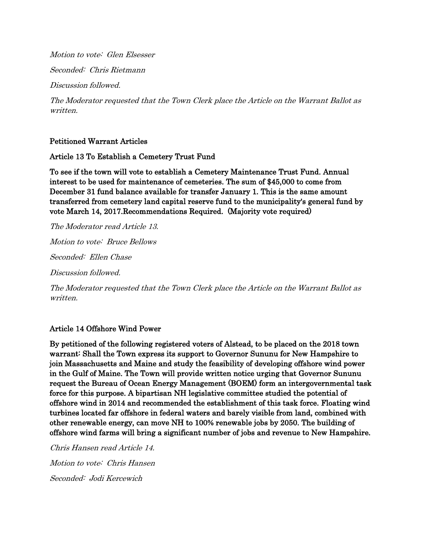Motion to vote: Glen Elsesser

Seconded: Chris Rietmann

Discussion followed.

The Moderator requested that the Town Clerk place the Article on the Warrant Ballot as written.

#### Petitioned Warrant Articles

#### Article 13 To Establish a Cemetery Trust Fund

To see if the town will vote to establish a Cemetery Maintenance Trust Fund. Annual interest to be used for maintenance of cemeteries. The sum of \$45,000 to come from December 31 fund balance available for transfer January 1. This is the same amount transferred from cemetery land capital reserve fund to the municipality's general fund by vote March 14, 2017.Recommendations Required. (Majority vote required)

The Moderator read Article 13. Motion to vote: Bruce Bellows

Seconded: Ellen Chase

Discussion followed.

The Moderator requested that the Town Clerk place the Article on the Warrant Ballot as written.

#### Article 14 Offshore Wind Power

By petitioned of the following registered voters of Alstead, to be placed on the 2018 town warrant: Shall the Town express its support to Governor Sununu for New Hampshire to join Massachusetts and Maine and study the feasibility of developing offshore wind power in the Gulf of Maine. The Town will provide written notice urging that Governor Sununu request the Bureau of Ocean Energy Management (BOEM) form an intergovernmental task force for this purpose. A bipartisan NH legislative committee studied the potential of offshore wind in 2014 and recommended the establishment of this task force. Floating wind turbines located far offshore in federal waters and barely visible from land, combined with other renewable energy, can move NH to 100% renewable jobs by 2050. The building of offshore wind farms will bring a significant number of jobs and revenue to New Hampshire.

Chris Hansen read Article 14. Motion to vote: Chris Hansen Seconded: Jodi Kercewich